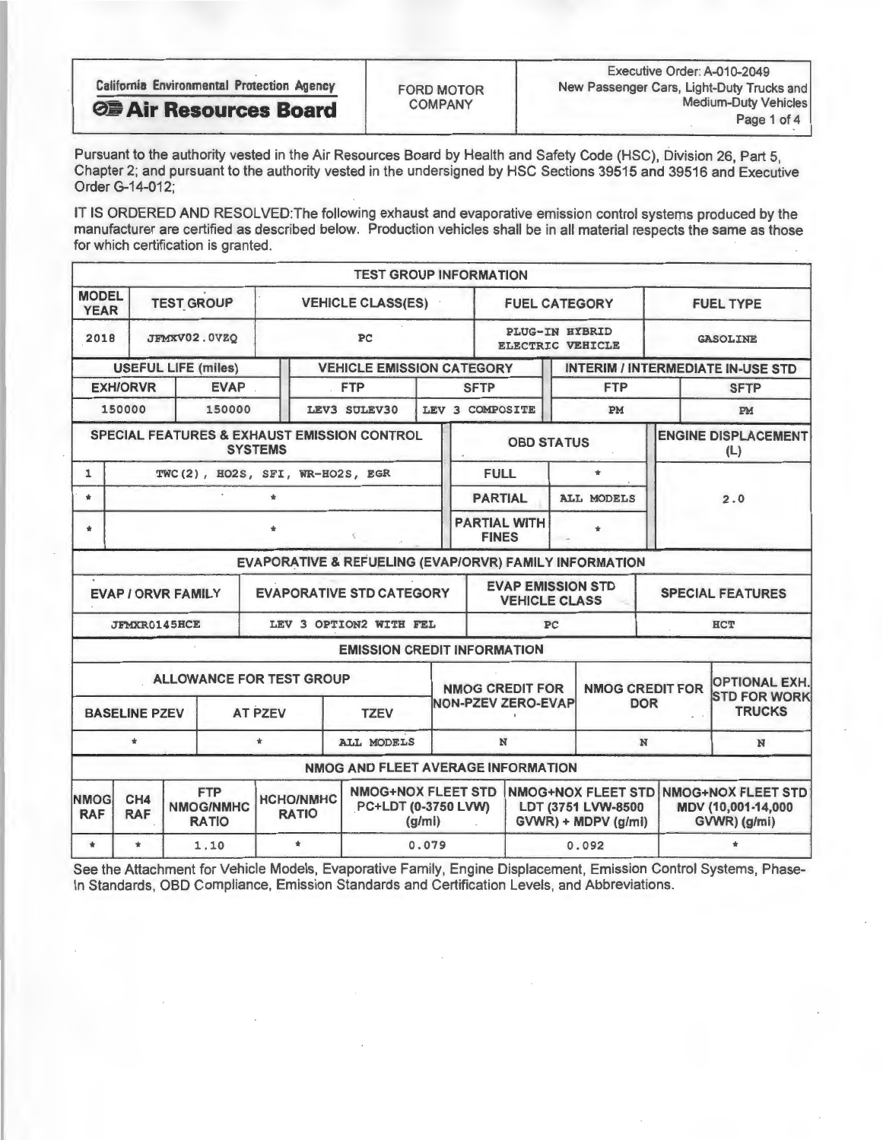| <b>California Environmental Protection Agency</b> | <b>FORD MOTOR</b> | Executive Order: A-010-2049<br>New Passenger Cars, Light-Duty Trucks and |
|---------------------------------------------------|-------------------|--------------------------------------------------------------------------|
| <b>OB Air Resources Board</b>                     | <b>COMPANY</b>    | Medium-Duty Vehicles                                                     |
|                                                   |                   | Page 1 of 4                                                              |

Pursuant to the authority vested in the Air Resources Board by Health and Safety Code (HSC), Division 26, Part 5, Chapter 2; and pursuant to the authority vested in the undersigned by HSC Sections 39515 and 39516 and Executive Order G-14-012;

IT IS ORDERED AND RESOLVED: The following exhaust and evaporative emission control systems produced by the manufacturer are certified as described below. Production vehicles shall be in all material respects the same as those for which certification is granted

|                             |                                                                                                                                                      |                                               |                            |                                                                              | <b>TEST GROUP INFORMATION</b>                          |                                                                        |                           |                                                  |       |                                                                 |                  |                                             |  |
|-----------------------------|------------------------------------------------------------------------------------------------------------------------------------------------------|-----------------------------------------------|----------------------------|------------------------------------------------------------------------------|--------------------------------------------------------|------------------------------------------------------------------------|---------------------------|--------------------------------------------------|-------|-----------------------------------------------------------------|------------------|---------------------------------------------|--|
| <b>MODEL</b><br><b>YEAR</b> |                                                                                                                                                      | <b>TEST GROUP</b><br><b>VEHICLE CLASS(ES)</b> |                            |                                                                              |                                                        |                                                                        |                           | <b>FUEL CATEGORY</b>                             |       |                                                                 | <b>FUEL TYPE</b> |                                             |  |
| 2018                        | PC<br>JFMXV02.0VZQ                                                                                                                                   |                                               |                            |                                                                              |                                                        |                                                                        |                           | <b>PLUG-IN HYBRID</b><br><b>ELECTRIC VEHICLE</b> |       |                                                                 |                  | <b>GASOLINE</b>                             |  |
|                             |                                                                                                                                                      |                                               | <b>USEFUL LIFE (miles)</b> | <b>VEHICLE EMISSION CATEGORY</b><br><b>INTERIM / INTERMEDIATE IN-USE STD</b> |                                                        |                                                                        |                           |                                                  |       |                                                                 |                  |                                             |  |
|                             | <b>EXH/ORVR</b>                                                                                                                                      |                                               | <b>EVAP</b>                |                                                                              | <b>FTP</b>                                             |                                                                        | <b>SFTP</b>               |                                                  |       | <b>FTP</b>                                                      | <b>SFTP</b>      |                                             |  |
|                             | 150000                                                                                                                                               |                                               | 150000                     |                                                                              | LEV3 SULEV30                                           |                                                                        | LEV 3 COMPOSITE           |                                                  | PM    |                                                                 |                  | <b>PM</b>                                   |  |
|                             |                                                                                                                                                      |                                               |                            | <b>SYSTEMS</b>                                                               | SPECIAL FEATURES & EXHAUST EMISSION CONTROL            |                                                                        |                           | <b>OBD STATUS</b>                                |       |                                                                 |                  | <b>ENGINE DISPLACEMENT</b><br>(L)           |  |
| $\mathbf{1}$                |                                                                                                                                                      |                                               |                            | TWC(2), HO2S, SFI, WR-HO2S, EGR                                              |                                                        |                                                                        | <b>FULL</b>               |                                                  |       | $\pm$                                                           |                  |                                             |  |
| $\mathbf{r}$                | $\pm$                                                                                                                                                |                                               |                            |                                                                              |                                                        |                                                                        |                           | <b>PARTIAL</b>                                   |       | <b>ALL MODELS</b>                                               | 2.0              |                                             |  |
|                             |                                                                                                                                                      | <b>PARTIAL WITH</b><br>÷<br><b>FINES</b>      |                            |                                                                              |                                                        |                                                                        |                           |                                                  |       |                                                                 |                  |                                             |  |
|                             |                                                                                                                                                      |                                               |                            |                                                                              | EVAPORATIVE & REFUELING (EVAP/ORVR) FAMILY INFORMATION |                                                                        |                           |                                                  |       |                                                                 |                  |                                             |  |
|                             | <b>EVAP / ORVR FAMILY</b>                                                                                                                            |                                               |                            |                                                                              | <b>EVAPORATIVE STD CATEGORY</b>                        |                                                                        |                           | <b>EVAP EMISSION STD</b><br><b>VEHICLE CLASS</b> |       |                                                                 |                  | <b>SPECIAL FEATURES</b>                     |  |
|                             | <b>JFMXR0145HCE</b>                                                                                                                                  |                                               |                            |                                                                              | LEV 3 OPTION2 WITH FEL                                 |                                                                        | PC<br><b>HCT</b>          |                                                  |       |                                                                 |                  |                                             |  |
|                             |                                                                                                                                                      |                                               |                            |                                                                              | <b>EMISSION CREDIT INFORMATION</b>                     |                                                                        |                           |                                                  |       |                                                                 |                  |                                             |  |
|                             |                                                                                                                                                      |                                               |                            | ALLOWANCE FOR TEST GROUP                                                     |                                                        |                                                                        | <b>NMOG CREDIT FOR</b>    |                                                  |       | <b>NMOG CREDIT FOR</b>                                          |                  | <b>OPTIONAL EXH.</b><br><b>STD FOR WORK</b> |  |
|                             | <b>BASELINE PZEV</b>                                                                                                                                 |                                               |                            | <b>AT PZEV</b>                                                               | <b>TZEV</b>                                            |                                                                        | <b>NON-PZEV ZERO-EVAP</b> |                                                  |       | <b>DOR</b>                                                      |                  | <b>TRUCKS</b>                               |  |
|                             | $\pm$                                                                                                                                                |                                               |                            | $\star$                                                                      | <b>ALL MODELS</b>                                      |                                                                        | N<br>N                    |                                                  |       |                                                                 |                  | N                                           |  |
|                             |                                                                                                                                                      |                                               |                            |                                                                              | NMOG AND FLEET AVERAGE INFORMATION                     |                                                                        |                           |                                                  |       |                                                                 |                  |                                             |  |
| <b>NMOG</b><br><b>RAF</b>   | <b>NMOG+NOX FLEET STD</b><br><b>FTP</b><br><b>HCHO/NMHC</b><br>CH4<br>PC+LDT (0-3750 LVW)<br>NMOG/NMHC<br><b>RATIO</b><br><b>RAF</b><br><b>RATIO</b> |                                               |                            |                                                                              | (g/mi)                                                 | <b>NMOG+NOX FLEET STD</b><br>LDT (3751 LVW-8500<br>GVWR) + MDPV (g/mi) |                           |                                                  |       | <b>NMOG+NOX FLEET STD</b><br>MDV (10,001-14,000<br>GVWR) (g/mi) |                  |                                             |  |
| $\pm$                       | $\star$                                                                                                                                              |                                               | 1.10                       | $\star$                                                                      |                                                        | 0.079                                                                  |                           |                                                  | 0.092 |                                                                 |                  |                                             |  |

See the Attachment for Vehicle Models, Evaporative Family, Engine Displacement, Emission Control Systems, Phase-In Standards, OBD Compliance, Emission Standards and Certification Levels, and Abbreviations.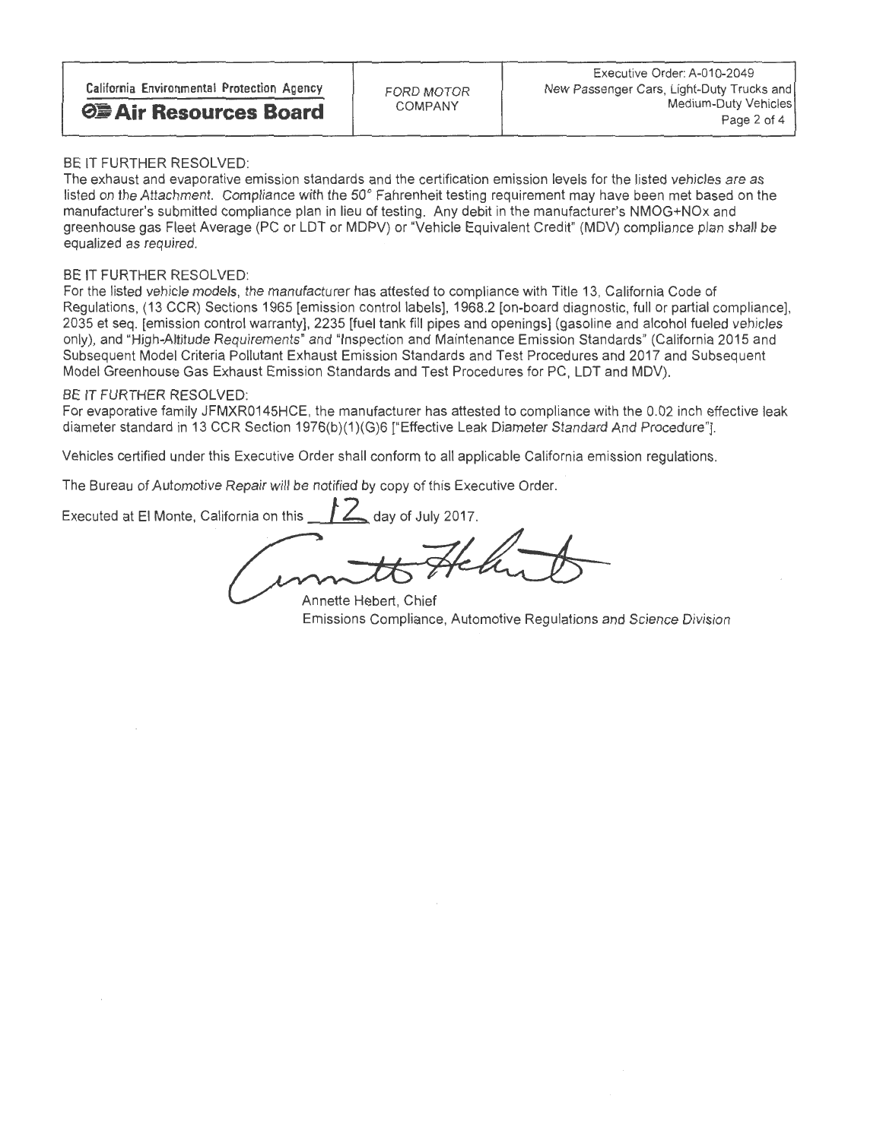## BE IT FURTHER RESOLVED:

The exhaust and evaporative emission standards and the certification emission levels for the listed vehicles are as<br>listed on the Attachment, Compliance with the 50° Fahrenheit testing requirement may have been met based o listed on the Attachment. Compliance with the 50 Fahrenheit testing requirement may have been met based on the manufacturer's sumitted compilance plan in lieu of testing. Any debit in the manufacturer's NMOG+NOx and greenhouse gas Fleet Average (PC or LDT or MDPV) or "Vehicle Equivalent Credit" (MDV) compliance plan shall be equalized as required.

## BE IT FURTHER RESOLVED:

For the listed vehicle models, the manufacturer has attested to compliance with Title 13, California Code of Regulations, (13 CCR) Sections 1965 [emission control labels], 1968.2 [on-board diagnostic, full or partial compliance], 2035 et seq. [emission control warranty], 2235 [fuel tank fill pipes and openings] (gasoline and alcohol fueled vehicles only), and "High-Altitude Requirements" and "Inspection and Maintenance Emission Standards" (California 2015 and Subsequent Model Criteria Pollutant Exhaust Emission Standards and Test Procedures and 2017 and Subsequent Model Greenhouse Gas Exhaust Emission Standards and Test Procedures for PC, LDT and MDV).

## BE IT FURTHER RESOLVED

For evaporative family JFMXR0145HCE, the manufacturer has attested to compliance with the 0.02 inch effective leak diameter standard in 13 CCR Section 1976(b)(1)(G)6 ["Effective Leak Diameter Standard And Procedure"].

Vehicles certified under this Executive Order shall conform to all applicable California emission regulations.

The Bureau of Automotive Repair will be notified by copy of this Executive Order.

Executed at El Monte, California on this  $\boxed{f}$  day of July 2017.

Annette Hebert, Chief Emissions Compliance, Automotive Regulations and Science Division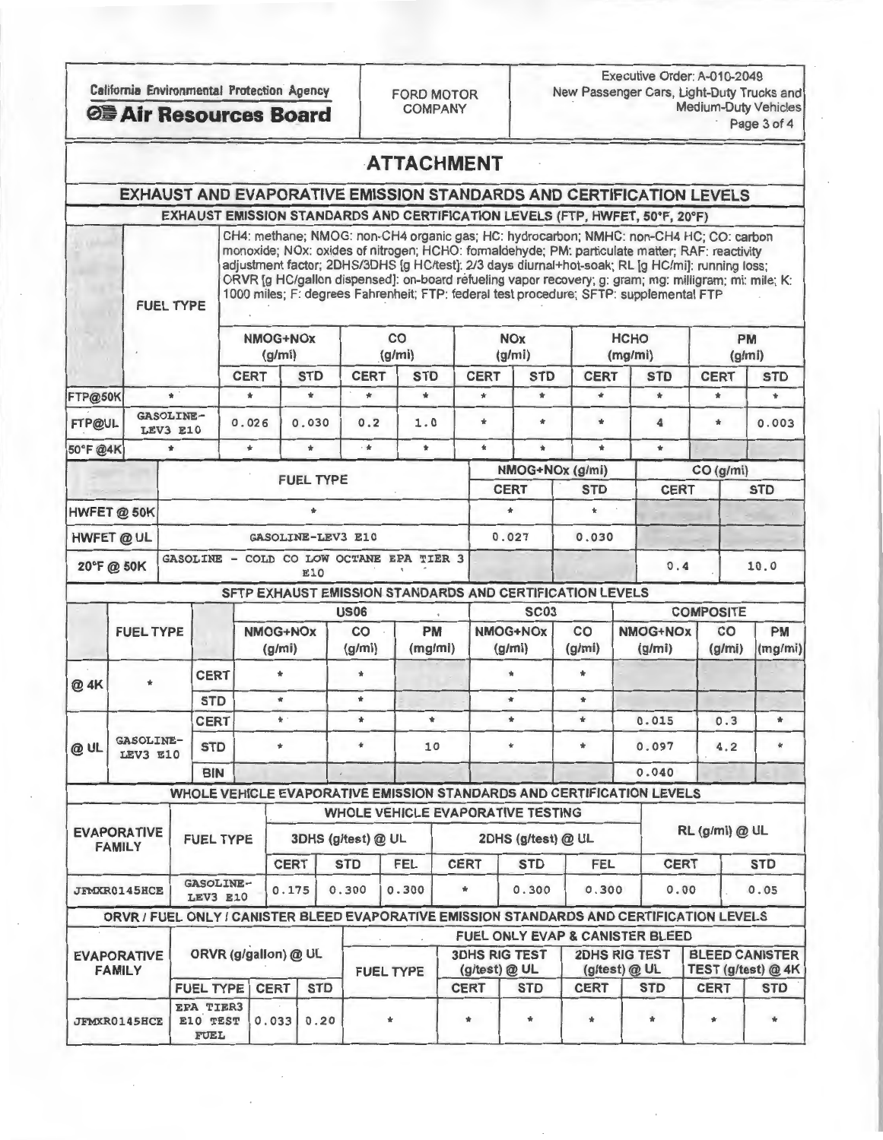| California Environmental Protection Agency<br><b>◎■ Air Resources Board</b> |                                                            |                              |                                             |                    |                |                  |                                          | Executive Order: A-010-2049<br>New Passenger Cars, Light-Duty Trucks and<br><b>FORD MOTOR</b><br><b>Medium-Duty Vehicles</b><br><b>COMPANY</b><br>Page 3 of 4 |                                       |                      |                    |                                                                                                                                                                                                                                                                                                                                                                                                                                                                                                 |                        |                    |                       |                     |               |
|-----------------------------------------------------------------------------|------------------------------------------------------------|------------------------------|---------------------------------------------|--------------------|----------------|------------------|------------------------------------------|---------------------------------------------------------------------------------------------------------------------------------------------------------------|---------------------------------------|----------------------|--------------------|-------------------------------------------------------------------------------------------------------------------------------------------------------------------------------------------------------------------------------------------------------------------------------------------------------------------------------------------------------------------------------------------------------------------------------------------------------------------------------------------------|------------------------|--------------------|-----------------------|---------------------|---------------|
|                                                                             |                                                            |                              |                                             |                    |                |                  |                                          | <b>ATTACHMENT</b>                                                                                                                                             |                                       |                      |                    |                                                                                                                                                                                                                                                                                                                                                                                                                                                                                                 |                        |                    |                       |                     |               |
|                                                                             |                                                            |                              |                                             |                    |                |                  |                                          |                                                                                                                                                               |                                       |                      |                    | EXHAUST AND EVAPORATIVE EMISSION STANDARDS AND CERTIFICATION LEVELS                                                                                                                                                                                                                                                                                                                                                                                                                             |                        |                    |                       |                     |               |
|                                                                             |                                                            |                              |                                             |                    |                |                  |                                          |                                                                                                                                                               |                                       |                      |                    | EXHAUST EMISSION STANDARDS AND CERTIFICATION LEVELS (FTP, HWFET, 50°F, 20°F)                                                                                                                                                                                                                                                                                                                                                                                                                    |                        |                    |                       |                     |               |
|                                                                             |                                                            | <b>FUEL TYPE</b>             |                                             |                    |                |                  |                                          |                                                                                                                                                               |                                       |                      |                    | CH4: methane; NMOG: non-CH4 organic gas; HC: hydrocarbon; NMHC: non-CH4 HC; CO: carbon<br>monoxide; NOx: oxides of nitrogen; HCHO: formaldehyde; PM: particulate matter; RAF: reactivity<br>adjustment factor; 2DHS/3DHS [g HC/test]: 2/3 days diurnal+hot-soak; RL [g HC/mi]: running loss;<br>ORVR [g HC/gallon dispensed]: on-board refueling vapor recovery; g: gram; mg: milligram; mi: mile; K:<br>1000 miles; F: degrees Fahrenheit; FTP: federal test procedure; SFTP: supplemental FTP |                        |                    |                       |                     |               |
|                                                                             |                                                            |                              |                                             | NMOG+NOx<br>(g/mi) |                |                  |                                          | CO<br>(g/mi)                                                                                                                                                  |                                       | <b>NOx</b><br>(g/mi) |                    |                                                                                                                                                                                                                                                                                                                                                                                                                                                                                                 | <b>HCHO</b><br>(mg/mi) |                    |                       | <b>PM</b><br>(g/mi) |               |
|                                                                             |                                                            |                              |                                             | <b>CERT</b>        |                | <b>STD</b>       | <b>CERT</b>                              | <b>STD</b>                                                                                                                                                    |                                       | <b>CERT</b>          | <b>STD</b>         | <b>CERT</b>                                                                                                                                                                                                                                                                                                                                                                                                                                                                                     |                        | <b>STD</b>         |                       | <b>CERT</b>         | <b>STD</b>    |
| <b>FTP@50K</b>                                                              |                                                            | $+$                          |                                             | $\frac{1}{2}$      |                | $\Phi$           | $\star$                                  | $\Phi$                                                                                                                                                        |                                       | $\mathbf{r}$         | $\Phi$             | $\star$                                                                                                                                                                                                                                                                                                                                                                                                                                                                                         |                        | $\star$            |                       | $\Phi$              | $\mathbf{r}$  |
| FTP@UL                                                                      |                                                            | <b>GASOLINE-</b><br>LEV3 E10 |                                             | 0.026              |                | 0.030            | 0.2                                      | 1.0                                                                                                                                                           |                                       | $\frac{1}{N}$        | $\mathbf{r}$       | $\Phi$                                                                                                                                                                                                                                                                                                                                                                                                                                                                                          |                        | 4                  |                       | $\mathcal{H}$       | 0.003         |
| 50°F @4K                                                                    |                                                            | $\star$                      |                                             | $\pm$              |                | $\frac{1}{N}$    | $-$                                      | $\frac{1}{2}$                                                                                                                                                 |                                       | $\star$              | $\ast$             | $\star$                                                                                                                                                                                                                                                                                                                                                                                                                                                                                         |                        | $\star$            |                       |                     |               |
|                                                                             |                                                            |                              |                                             |                    |                | <b>FUEL TYPE</b> |                                          |                                                                                                                                                               |                                       |                      |                    | NMOG+NOx (g/mi)                                                                                                                                                                                                                                                                                                                                                                                                                                                                                 |                        |                    |                       | CO (g/mi)           |               |
|                                                                             |                                                            | <b>CERT</b><br><b>STD</b>    |                                             |                    |                |                  |                                          | <b>CERT</b>                                                                                                                                                   |                                       |                      |                    | <b>STD</b>                                                                                                                                                                                                                                                                                                                                                                                                                                                                                      |                        |                    |                       |                     |               |
|                                                                             | HWFET @ 50K                                                |                              |                                             |                    |                | $\ast$           |                                          |                                                                                                                                                               |                                       |                      | $\ast$             | $\star$                                                                                                                                                                                                                                                                                                                                                                                                                                                                                         |                        |                    |                       |                     |               |
|                                                                             | HWFET @ UL<br><b>GASOLINE-LEV3 E10</b>                     |                              |                                             |                    |                |                  | 0.027                                    |                                                                                                                                                               |                                       | 0.030                |                    |                                                                                                                                                                                                                                                                                                                                                                                                                                                                                                 |                        |                    |                       |                     |               |
|                                                                             | 20°F@50K                                                   |                              |                                             |                    |                | E10              | GASOLINE - COLD CO LOW OCTANE EPA TIER 3 |                                                                                                                                                               |                                       |                      |                    |                                                                                                                                                                                                                                                                                                                                                                                                                                                                                                 |                        | 0.4                |                       |                     | 10.0          |
|                                                                             |                                                            |                              |                                             |                    |                |                  |                                          |                                                                                                                                                               |                                       |                      |                    | SFTP EXHAUST EMISSION STANDARDS AND CERTIFICATION LEVELS                                                                                                                                                                                                                                                                                                                                                                                                                                        |                        |                    |                       |                     |               |
|                                                                             |                                                            |                              |                                             |                    | NMOG+NOx       |                  |                                          | <b>US06</b>                                                                                                                                                   |                                       |                      | <b>SC03</b>        |                                                                                                                                                                                                                                                                                                                                                                                                                                                                                                 |                        |                    |                       | <b>COMPOSITE</b>    |               |
|                                                                             | <b>FUEL TYPE</b>                                           |                              |                                             |                    | (g/mi)         |                  | CO<br>(g/mi)                             |                                                                                                                                                               | PM<br>(mg/mi)                         |                      | NMOG+NOx<br>(g/mi) | CO<br>(g/mi)                                                                                                                                                                                                                                                                                                                                                                                                                                                                                    |                        | NMOG+NOx<br>(g/mi) |                       | CO<br>(g/mi)        | PM<br>(mg/mi) |
| @ 4K                                                                        | $\star$                                                    |                              | <b>CERT</b>                                 |                    | $\frac{1}{24}$ |                  | $\frac{1}{24}$                           |                                                                                                                                                               |                                       |                      | $\star$            | $\star$                                                                                                                                                                                                                                                                                                                                                                                                                                                                                         |                        |                    |                       |                     |               |
|                                                                             |                                                            |                              | <b>STD</b>                                  |                    | $\mathbf{r}$   |                  | $\dot{\mathbf{r}}$                       |                                                                                                                                                               |                                       |                      | $\ast$             | $\frac{1}{N}$                                                                                                                                                                                                                                                                                                                                                                                                                                                                                   |                        |                    |                       |                     |               |
|                                                                             | <b>GASOLINE-</b>                                           |                              | <b>CERT</b>                                 |                    | *              |                  | $\star$                                  |                                                                                                                                                               | $\ast$                                |                      | *                  | $\star$                                                                                                                                                                                                                                                                                                                                                                                                                                                                                         |                        | 0.015              |                       | 0.3                 | $\ast$        |
| @ UL                                                                        | LEV3 E10                                                   | <b>STD</b>                   |                                             |                    | $\frac{1}{24}$ |                  | $\pmb{\ast}$                             |                                                                                                                                                               | 10                                    |                      | $\mathbf{r}$       | $\ast$                                                                                                                                                                                                                                                                                                                                                                                                                                                                                          |                        |                    | 0.097                 |                     | $\star$       |
|                                                                             |                                                            |                              | <b>BIN</b>                                  |                    |                |                  |                                          |                                                                                                                                                               |                                       |                      |                    |                                                                                                                                                                                                                                                                                                                                                                                                                                                                                                 |                        | 0.040              |                       |                     |               |
|                                                                             |                                                            |                              |                                             |                    |                |                  |                                          |                                                                                                                                                               |                                       |                      |                    | WHOLE VEHICLE EVAPORATIVE EMISSION STANDARDS AND CERTIFICATION LEVELS                                                                                                                                                                                                                                                                                                                                                                                                                           |                        |                    |                       |                     |               |
|                                                                             |                                                            |                              |                                             |                    |                |                  | <b>WHOLE VEHICLE EVAPORATIVE TESTING</b> |                                                                                                                                                               |                                       |                      |                    |                                                                                                                                                                                                                                                                                                                                                                                                                                                                                                 |                        |                    |                       |                     |               |
| <b>EVAPORATIVE</b><br><b>FUEL TYPE</b><br><b>FAMILY</b>                     |                                                            |                              | 3DHS (g/test) @ UL                          |                    |                |                  | 2DHS (g/test) @ UL                       |                                                                                                                                                               |                                       |                      |                    |                                                                                                                                                                                                                                                                                                                                                                                                                                                                                                 | RL (g/mi) @ UL         |                    |                       |                     |               |
|                                                                             |                                                            |                              |                                             | <b>CERT</b>        |                | <b>STD</b>       | FEL                                      |                                                                                                                                                               | <b>CERT</b>                           | <b>STD</b>           | <b>FEL</b>         |                                                                                                                                                                                                                                                                                                                                                                                                                                                                                                 | <b>CERT</b>            |                    |                       | <b>STD</b>          |               |
|                                                                             | <b>GASOLINE-</b><br><b>JFMXR0145HCE</b><br><b>LEV3 E10</b> |                              | 0.175                                       |                    | 0.300          | 0.300<br>$\ast$  |                                          |                                                                                                                                                               | 0.300<br>0.300                        |                      | 0.00               |                                                                                                                                                                                                                                                                                                                                                                                                                                                                                                 |                        | 0.05               |                       |                     |               |
|                                                                             |                                                            |                              |                                             |                    |                |                  |                                          |                                                                                                                                                               |                                       |                      |                    | ORVR / FUEL ONLY / CANISTER BLEED EVAPORATIVE EMISSION STANDARDS AND CERTIFICATION LEVELS                                                                                                                                                                                                                                                                                                                                                                                                       |                        |                    |                       |                     |               |
|                                                                             |                                                            |                              |                                             |                    |                |                  |                                          |                                                                                                                                                               |                                       |                      |                    | <b>FUEL ONLY EVAP &amp; CANISTER BLEED</b><br><b>2DHS RIG TEST</b>                                                                                                                                                                                                                                                                                                                                                                                                                              |                        |                    | <b>BLEED CANISTER</b> |                     |               |
|                                                                             | <b>EVAPORATIVE</b><br><b>FAMILY</b>                        | ORVR (g/gallon) @ UL         |                                             |                    |                | <b>FUEL TYPE</b> |                                          |                                                                                                                                                               | <b>3DHS RIG TEST</b><br>(g/test) @ UL |                      | (g/test) @ UL      |                                                                                                                                                                                                                                                                                                                                                                                                                                                                                                 |                        |                    | TEST (g/test) @ 4K    |                     |               |
|                                                                             |                                                            |                              | <b>FUEL TYPE</b>                            |                    | <b>CERT</b>    | <b>STD</b>       |                                          |                                                                                                                                                               |                                       | <b>CERT</b>          | <b>STD</b>         | <b>CERT</b>                                                                                                                                                                                                                                                                                                                                                                                                                                                                                     |                        | <b>STD</b>         |                       | <b>CERT</b>         | <b>STD</b>    |
|                                                                             | <b>JFMXR0145HCE</b>                                        |                              | <b>EPA TIER3</b><br>E10 TEST<br><b>FUEL</b> |                    | 0.033          | 0.20             |                                          | $\ast$<br>*                                                                                                                                                   |                                       |                      | $\star$            | $\star$                                                                                                                                                                                                                                                                                                                                                                                                                                                                                         |                        | $\frac{1}{2}$      |                       | *                   | $\ast$        |